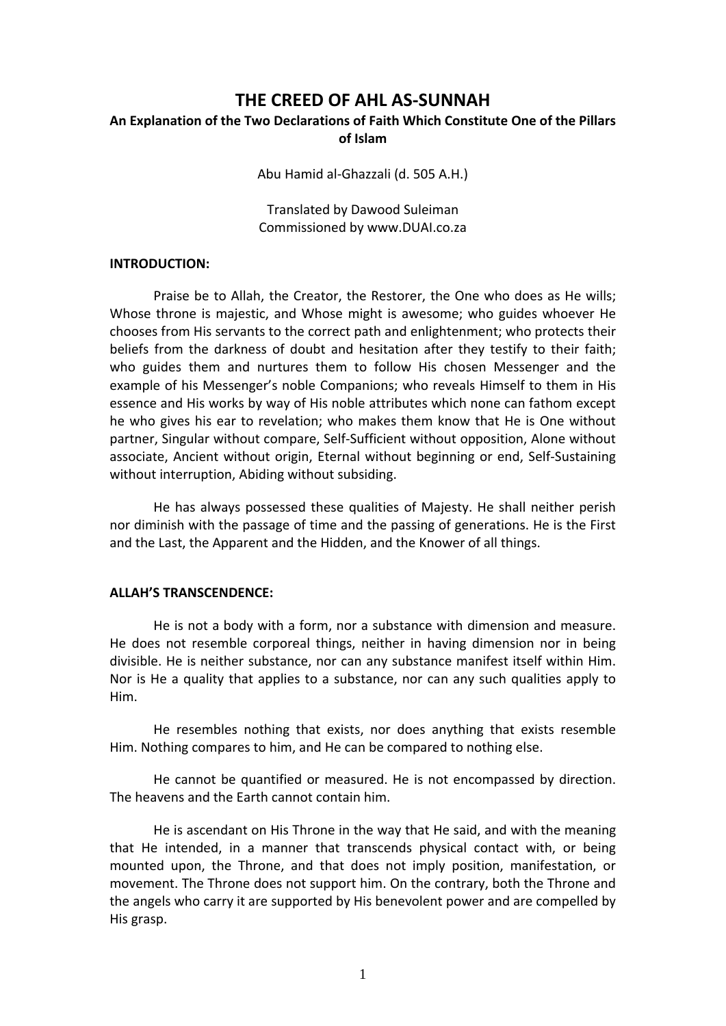# **THE CREED OF AHL AS‐SUNNAH**

## **An Explanation of the Two Declarations of Faith Which Constitute One of the Pillars of Islam**

Abu Hamid al‐Ghazzali (d. 505 A.H.)

Translated by Dawood Suleiman Commissioned by www.DUAI.co.za

#### **INTRODUCTION:**

Praise be to Allah, the Creator, the Restorer, the One who does as He wills; Whose throne is majestic, and Whose might is awesome; who guides whoever He chooses from His servants to the correct path and enlightenment; who protects their beliefs from the darkness of doubt and hesitation after they testify to their faith; who guides them and nurtures them to follow His chosen Messenger and the example of his Messenger's noble Companions; who reveals Himself to them in His essence and His works by way of His noble attributes which none can fathom except he who gives his ear to revelation; who makes them know that He is One without partner, Singular without compare, Self‐Sufficient without opposition, Alone without associate, Ancient without origin, Eternal without beginning or end, Self‐Sustaining without interruption, Abiding without subsiding.

He has always possessed these qualities of Majesty. He shall neither perish nor diminish with the passage of time and the passing of generations. He is the First and the Last, the Apparent and the Hidden, and the Knower of all things.

#### **ALLAH'S TRANSCENDENCE:**

 He is not a body with a form, nor a substance with dimension and measure. He does not resemble corporeal things, neither in having dimension nor in being divisible. He is neither substance, nor can any substance manifest itself within Him. Nor is He a quality that applies to a substance, nor can any such qualities apply to Him.

He resembles nothing that exists, nor does anything that exists resemble Him. Nothing compares to him, and He can be compared to nothing else.

He cannot be quantified or measured. He is not encompassed by direction. The heavens and the Earth cannot contain him.

He is ascendant on His Throne in the way that He said, and with the meaning that He intended, in a manner that transcends physical contact with, or being mounted upon, the Throne, and that does not imply position, manifestation, or movement. The Throne does not support him. On the contrary, both the Throne and the angels who carry it are supported by His benevolent power and are compelled by His grasp.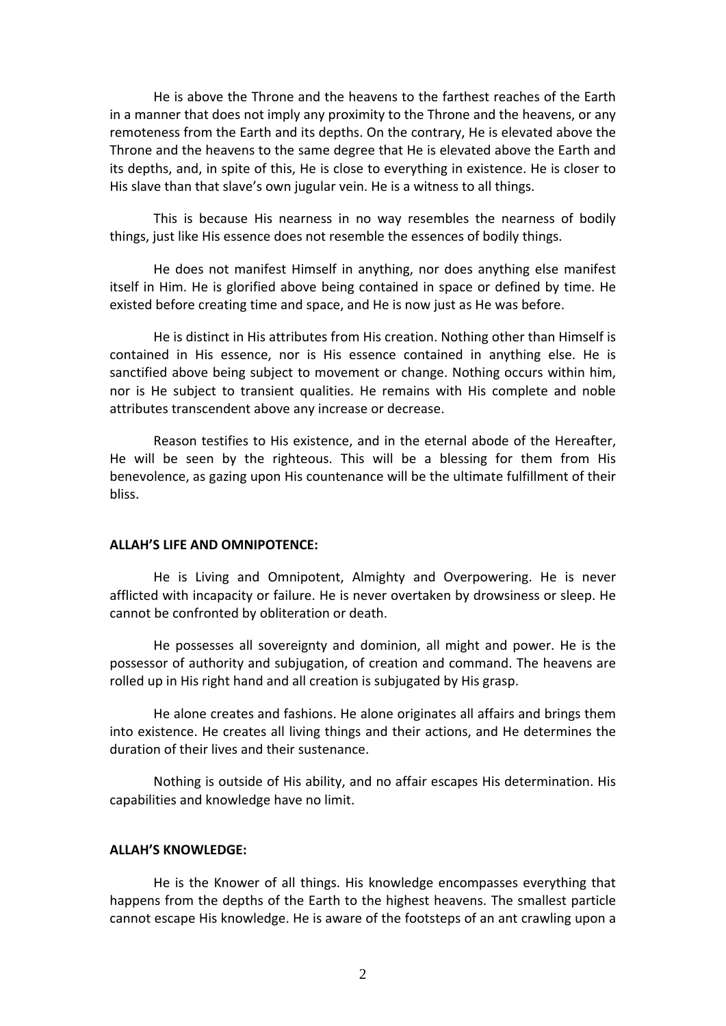He is above the Throne and the heavens to the farthest reaches of the Earth in a manner that does not imply any proximity to the Throne and the heavens, or any remoteness from the Earth and its depths. On the contrary, He is elevated above the Throne and the heavens to the same degree that He is elevated above the Earth and its depths, and, in spite of this, He is close to everything in existence. He is closer to His slave than that slave's own jugular vein. He is a witness to all things.

This is because His nearness in no way resembles the nearness of bodily things, just like His essence does not resemble the essences of bodily things.

He does not manifest Himself in anything, nor does anything else manifest itself in Him. He is glorified above being contained in space or defined by time. He existed before creating time and space, and He is now just as He was before.

He is distinct in His attributes from His creation. Nothing other than Himself is contained in His essence, nor is His essence contained in anything else. He is sanctified above being subject to movement or change. Nothing occurs within him, nor is He subject to transient qualities. He remains with His complete and noble attributes transcendent above any increase or decrease.

Reason testifies to His existence, and in the eternal abode of the Hereafter, He will be seen by the righteous. This will be a blessing for them from His benevolence, as gazing upon His countenance will be the ultimate fulfillment of their bliss.

#### **ALLAH'S LIFE AND OMNIPOTENCE:**

He is Living and Omnipotent, Almighty and Overpowering. He is never afflicted with incapacity or failure. He is never overtaken by drowsiness or sleep. He cannot be confronted by obliteration or death.

He possesses all sovereignty and dominion, all might and power. He is the possessor of authority and subjugation, of creation and command. The heavens are rolled up in His right hand and all creation is subjugated by His grasp.

He alone creates and fashions. He alone originates all affairs and brings them into existence. He creates all living things and their actions, and He determines the duration of their lives and their sustenance.

Nothing is outside of His ability, and no affair escapes His determination. His capabilities and knowledge have no limit.

## **ALLAH'S KNOWLEDGE:**

He is the Knower of all things. His knowledge encompasses everything that happens from the depths of the Earth to the highest heavens. The smallest particle cannot escape His knowledge. He is aware of the footsteps of an ant crawling upon a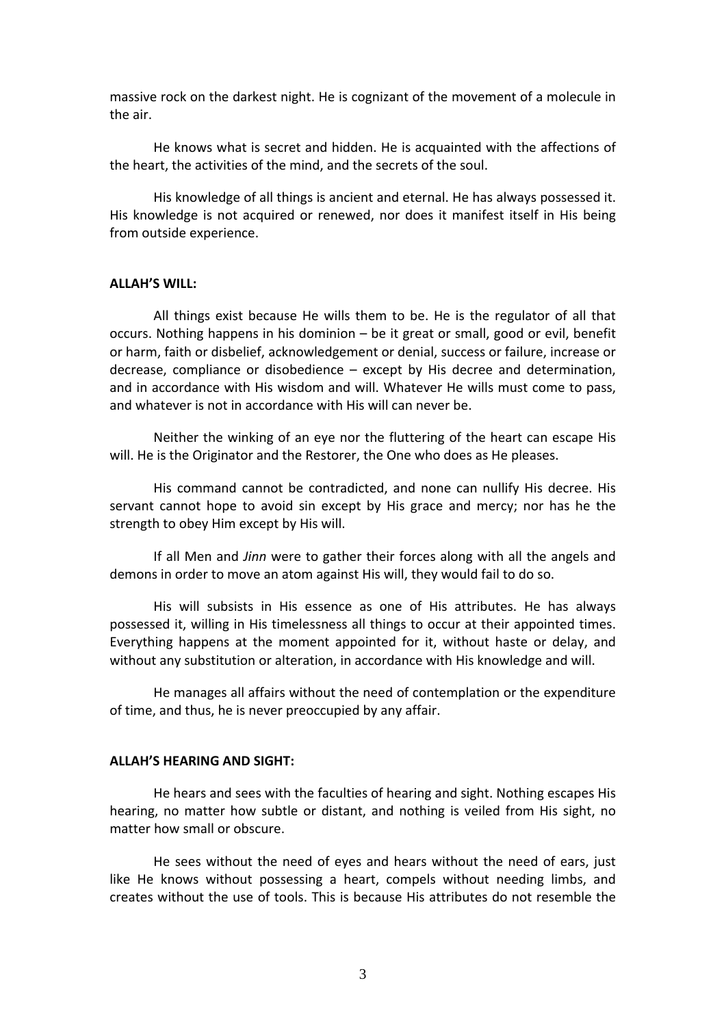massive rock on the darkest night. He is cognizant of the movement of a molecule in the air.

He knows what is secret and hidden. He is acquainted with the affections of the heart, the activities of the mind, and the secrets of the soul.

His knowledge of all things is ancient and eternal. He has always possessed it. His knowledge is not acquired or renewed, nor does it manifest itself in His being from outside experience.

#### **ALLAH'S WILL:**

All things exist because He wills them to be. He is the regulator of all that occurs. Nothing happens in his dominion – be it great or small, good or evil, benefit or harm, faith or disbelief, acknowledgement or denial, success or failure, increase or decrease, compliance or disobedience – except by His decree and determination, and in accordance with His wisdom and will. Whatever He wills must come to pass, and whatever is not in accordance with His will can never be.

Neither the winking of an eye nor the fluttering of the heart can escape His will. He is the Originator and the Restorer, the One who does as He pleases.

His command cannot be contradicted, and none can nullify His decree. His servant cannot hope to avoid sin except by His grace and mercy; nor has he the strength to obey Him except by His will.

If all Men and *Jinn* were to gather their forces along with all the angels and demons in order to move an atom against His will, they would fail to do so.

His will subsists in His essence as one of His attributes. He has always possessed it, willing in His timelessness all things to occur at their appointed times. Everything happens at the moment appointed for it, without haste or delay, and without any substitution or alteration, in accordance with His knowledge and will.

He manages all affairs without the need of contemplation or the expenditure of time, and thus, he is never preoccupied by any affair.

### **ALLAH'S HEARING AND SIGHT:**

He hears and sees with the faculties of hearing and sight. Nothing escapes His hearing, no matter how subtle or distant, and nothing is veiled from His sight, no matter how small or obscure.

He sees without the need of eyes and hears without the need of ears, just like He knows without possessing a heart, compels without needing limbs, and creates without the use of tools. This is because His attributes do not resemble the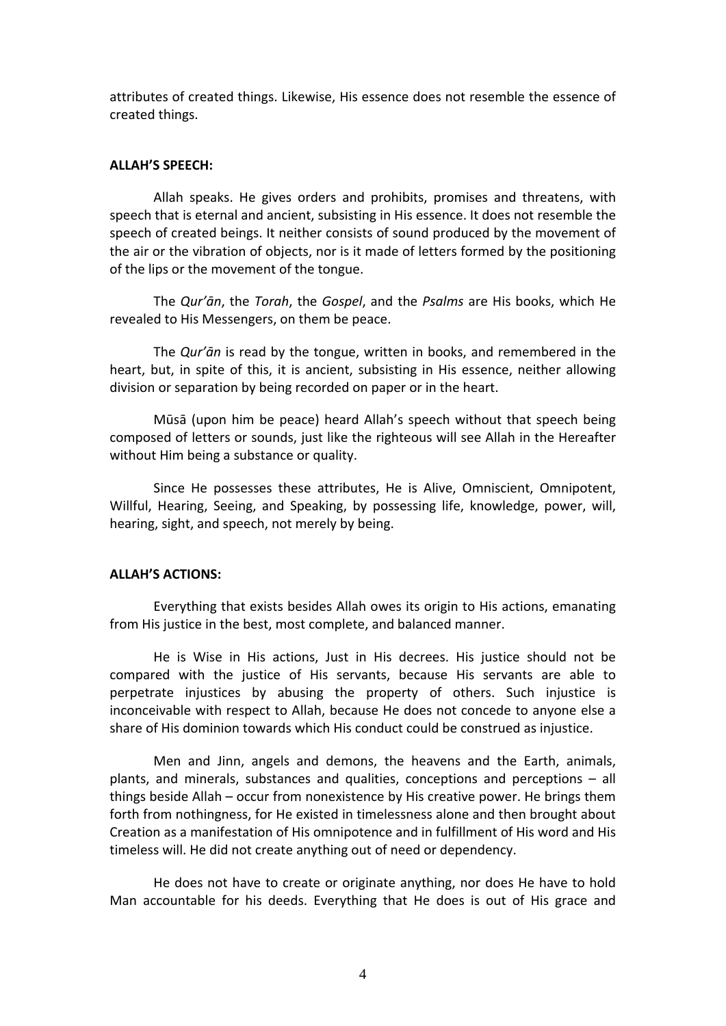attributes of created things. Likewise, His essence does not resemble the essence of created things.

## **ALLAH'S SPEECH:**

Allah speaks. He gives orders and prohibits, promises and threatens, with speech that is eternal and ancient, subsisting in His essence. It does not resemble the speech of created beings. It neither consists of sound produced by the movement of the air or the vibration of objects, nor is it made of letters formed by the positioning of the lips or the movement of the tongue.

The *Qur'ān*, the *Torah*, the *Gospel*, and the *Psalms* are His books, which He revealed to His Messengers, on them be peace.

The *Qur'ān* is read by the tongue, written in books, and remembered in the heart, but, in spite of this, it is ancient, subsisting in His essence, neither allowing division or separation by being recorded on paper or in the heart.

Mūsā (upon him be peace) heard Allah's speech without that speech being composed of letters or sounds, just like the righteous will see Allah in the Hereafter without Him being a substance or quality.

Since He possesses these attributes, He is Alive, Omniscient, Omnipotent, Willful, Hearing, Seeing, and Speaking, by possessing life, knowledge, power, will, hearing, sight, and speech, not merely by being.

## **ALLAH'S ACTIONS:**

Everything that exists besides Allah owes its origin to His actions, emanating from His justice in the best, most complete, and balanced manner.

He is Wise in His actions, Just in His decrees. His justice should not be compared with the justice of His servants, because His servants are able to perpetrate injustices by abusing the property of others. Such injustice is inconceivable with respect to Allah, because He does not concede to anyone else a share of His dominion towards which His conduct could be construed as injustice.

Men and Jinn, angels and demons, the heavens and the Earth, animals, plants, and minerals, substances and qualities, conceptions and perceptions – all things beside Allah – occur from nonexistence by His creative power. He brings them forth from nothingness, for He existed in timelessness alone and then brought about Creation as a manifestation of His omnipotence and in fulfillment of His word and His timeless will. He did not create anything out of need or dependency.

He does not have to create or originate anything, nor does He have to hold Man accountable for his deeds. Everything that He does is out of His grace and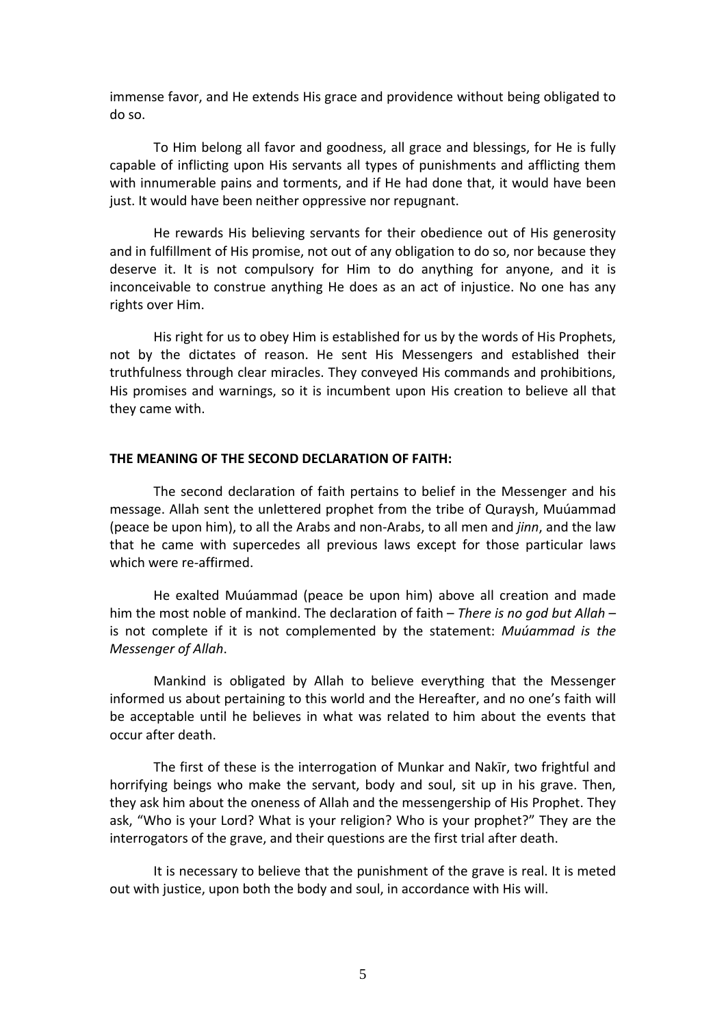immense favor, and He extends His grace and providence without being obligated to do so.

To Him belong all favor and goodness, all grace and blessings, for He is fully capable of inflicting upon His servants all types of punishments and afflicting them with innumerable pains and torments, and if He had done that, it would have been just. It would have been neither oppressive nor repugnant.

He rewards His believing servants for their obedience out of His generosity and in fulfillment of His promise, not out of any obligation to do so, nor because they deserve it. It is not compulsory for Him to do anything for anyone, and it is inconceivable to construe anything He does as an act of injustice. No one has any rights over Him.

His right for us to obey Him is established for us by the words of His Prophets, not by the dictates of reason. He sent His Messengers and established their truthfulness through clear miracles. They conveyed His commands and prohibitions, His promises and warnings, so it is incumbent upon His creation to believe all that they came with.

## **THE MEANING OF THE SECOND DECLARATION OF FAITH:**

The second declaration of faith pertains to belief in the Messenger and his message. Allah sent the unlettered prophet from the tribe of Quraysh, Muúammad (peace be upon him), to all the Arabs and non‐Arabs, to all men and *jinn*, and the law that he came with supercedes all previous laws except for those particular laws which were re-affirmed.

He exalted Muúammad (peace be upon him) above all creation and made him the most noble of mankind. The declaration of faith – *There is no god but Allah* – is not complete if it is not complemented by the statement: *Muúammad is the Messenger of Allah*.

Mankind is obligated by Allah to believe everything that the Messenger informed us about pertaining to this world and the Hereafter, and no one's faith will be acceptable until he believes in what was related to him about the events that occur after death.

The first of these is the interrogation of Munkar and Nakīr, two frightful and horrifying beings who make the servant, body and soul, sit up in his grave. Then, they ask him about the oneness of Allah and the messengership of His Prophet. They ask, "Who is your Lord? What is your religion? Who is your prophet?" They are the interrogators of the grave, and their questions are the first trial after death.

It is necessary to believe that the punishment of the grave is real. It is meted out with justice, upon both the body and soul, in accordance with His will.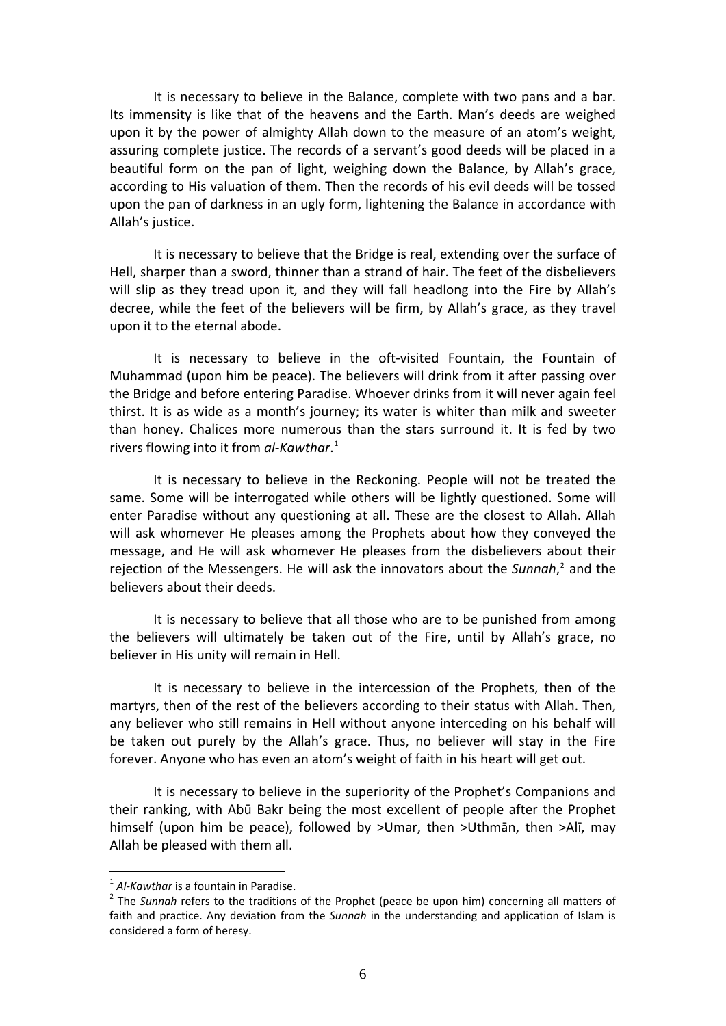It is necessary to believe in the Balance, complete with two pans and a bar. Its immensity is like that of the heavens and the Earth. Man's deeds are weighed upon it by the power of almighty Allah down to the measure of an atom's weight, assuring complete justice. The records of a servant's good deeds will be placed in a beautiful form on the pan of light, weighing down the Balance, by Allah's grace, according to His valuation of them. Then the records of his evil deeds will be tossed upon the pan of darkness in an ugly form, lightening the Balance in accordance with Allah's justice.

It is necessary to believe that the Bridge is real, extending over the surface of Hell, sharper than a sword, thinner than a strand of hair. The feet of the disbelievers will slip as they tread upon it, and they will fall headlong into the Fire by Allah's decree, while the feet of the believers will be firm, by Allah's grace, as they travel upon it to the eternal abode.

It is necessary to believe in the oft-visited Fountain, the Fountain of Muhammad (upon him be peace). The believers will drink from it after passing over the Bridge and before entering Paradise. Whoever drinks from it will never again feel thirst. It is as wide as a month's journey; its water is whiter than milk and sweeter than honey. Chalices more numerous than the stars surround it. It is fed by two rivers flowing into it from *al‐Kawthar*. [1](#page-5-0)

It is necessary to believe in the Reckoning. People will not be treated the same. Some will be interrogated while others will be lightly questioned. Some will enter Paradise without any questioning at all. These are the closest to Allah. Allah will ask whomever He pleases among the Prophets about how they conveyed the message, and He will ask whomever He pleases from the disbelievers about their rejection of the Messengers. He will ask the innovators about the *Sunnah*, [2](#page-5-1) and the believers about their deeds.

It is necessary to believe that all those who are to be punished from among the believers will ultimately be taken out of the Fire, until by Allah's grace, no believer in His unity will remain in Hell.

It is necessary to believe in the intercession of the Prophets, then of the martyrs, then of the rest of the believers according to their status with Allah. Then, any believer who still remains in Hell without anyone interceding on his behalf will be taken out purely by the Allah's grace. Thus, no believer will stay in the Fire forever. Anyone who has even an atom's weight of faith in his heart will get out.

It is necessary to believe in the superiority of the Prophet's Companions and their ranking, with Abū Bakr being the most excellent of people after the Prophet himself (upon him be peace), followed by >Umar, then >Uthmān, then >Alī, may Allah be pleased with them all.

1

<span id="page-5-1"></span><span id="page-5-0"></span><sup>&</sup>lt;sup>1</sup> *Al-Kawthar* is a fountain in Paradise.<br><sup>2</sup> The *Sunnah* refers to the traditions of the Prophet (peace be upon him) concerning all matters of faith and practice. Any deviation from the *Sunnah* in the understanding and application of Islam is considered a form of heresy.